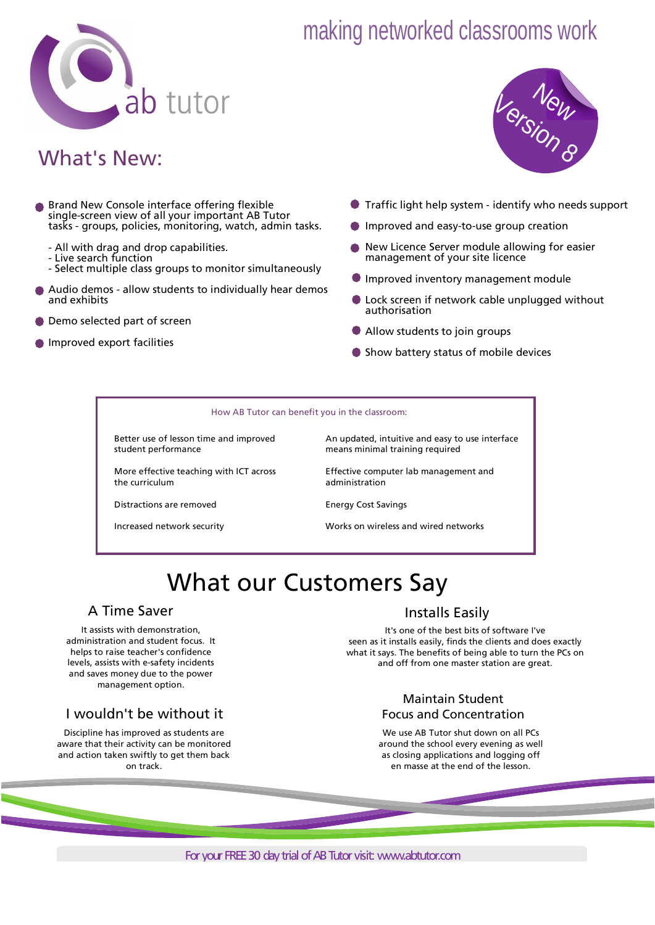

# making networked classrooms work

# What's New:

- **Brand New Console interface offering flexible** single-screen view of all your important AB Tutor tasks - groups, policies, monitoring, watch, admin tasks.
	- All with drag and drop capabilities.
	- Live search function
	- Select multiple class groups to monitor simultaneously
- Audio demos allow students to individually hear demos and exhibits
- **O** Demo selected part of screen
- **Improved export facilities**



- Traffic light help system identify who needs support
- **Improved and easy-to-use group creation**
- New Licence Server module allowing for easier management of your site licence
- **Improved inventory management module**
- **D** Lock screen if network cable unplugged without authorisation
- Allow students to join groups
- **Show battery status of mobile devices**

#### How AB Tutor can benefit you in the classroom:

Better use of lesson time and improved student performance

More effective teaching with ICT across the curriculum

An updated, intuitive and easy to use interface means minimal training required

Effective computer lab management and administration

Distractions are removed

Increased network security

Energy Cost Savings

Works on wireless and wired networks

# What our Customers Say

### A Time Saver

It assists with demonstration, administration and student focus. It helps to raise teacher's confidence levels, assists with e-safety incidents and saves money due to the power management option.

### I wouldn't be without it

Discipline has improved as students are aware that their activity can be monitored and action taken swiftly to get them back on track.

## Installs Easily

It's one of the best bits of software I've seen as it installs easily, finds the clients and does exactly what it says. The benefits of being able to turn the PCs on and off from one master station are great.

### Maintain Student Focus and Concentration

We use AB Tutor shut down on all PCs around the school every evening as well as closing applications and logging off en masse at the end of the lesson.

For your FREE 30 day trial of AB Tutor visit: www.abtutor.com